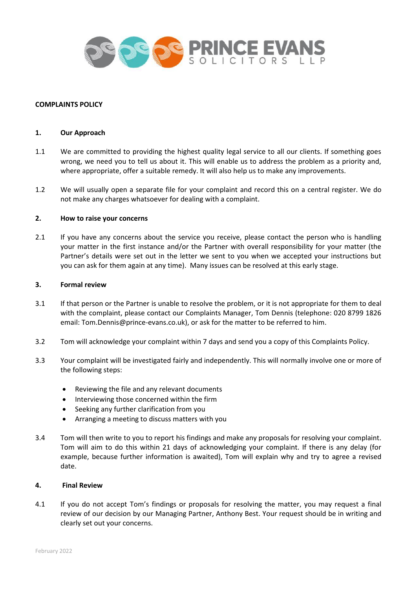

## **COMPLAINTS POLICY**

### **1. Our Approach**

- 1.1 We are committed to providing the highest quality legal service to all our clients. If something goes wrong, we need you to tell us about it. This will enable us to address the problem as a priority and, where appropriate, offer a suitable remedy. It will also help us to make any improvements.
- 1.2 We will usually open a separate file for your complaint and record this on a central register. We do not make any charges whatsoever for dealing with a complaint.

## **2. How to raise your concerns**

2.1 If you have any concerns about the service you receive, please contact the person who is handling your matter in the first instance and/or the Partner with overall responsibility for your matter (the Partner's details were set out in the letter we sent to you when we accepted your instructions but you can ask for them again at any time). Many issues can be resolved at this early stage.

### **3. Formal review**

- 3.1 If that person or the Partner is unable to resolve the problem, or it is not appropriate for them to deal with the complaint, please contact our Complaints Manager, Tom Dennis (telephone: 020 8799 1826 email: Tom.Dennis@prince-evans.co.uk), or ask for the matter to be referred to him.
- 3.2 Tom will acknowledge your complaint within 7 days and send you a copy of this Complaints Policy.
- 3.3 Your complaint will be investigated fairly and independently. This will normally involve one or more of the following steps:
	- Reviewing the file and any relevant documents
	- Interviewing those concerned within the firm
	- Seeking any further clarification from you
	- Arranging a meeting to discuss matters with you
- 3.4 Tom will then write to you to report his findings and make any proposals for resolving your complaint. Tom will aim to do this within 21 days of acknowledging your complaint. If there is any delay (for example, because further information is awaited), Tom will explain why and try to agree a revised date.

## **4. Final Review**

4.1 If you do not accept Tom's findings or proposals for resolving the matter, you may request a final review of our decision by our Managing Partner, Anthony Best. Your request should be in writing and clearly set out your concerns.